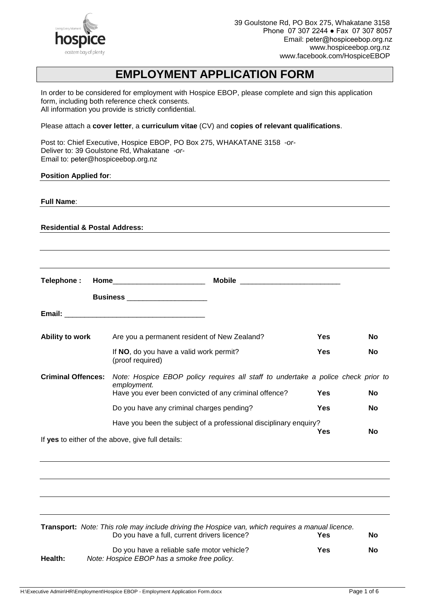

# **EMPLOYMENT APPLICATION FORM**

In order to be considered for employment with Hospice EBOP, please complete and sign this application form, including both reference check consents. All information you provide is strictly confidential.

Please attach a **cover letter**, a **curriculum vitae** (CV) and **copies of relevant qualifications**.

Post to: Chief Executive, Hospice EBOP, PO Box 275, WHAKATANE 3158 *-or-*Deliver to: 39 Goulstone Rd, Whakatane *-or-*Email to: peter@hospiceebop.org.nz

#### **Position Applied for**:

| <b>Full Name:</b>                        |                                                                                                                                                           |            |    |
|------------------------------------------|-----------------------------------------------------------------------------------------------------------------------------------------------------------|------------|----|
| <b>Residential &amp; Postal Address:</b> |                                                                                                                                                           |            |    |
|                                          |                                                                                                                                                           |            |    |
| Telephone:                               |                                                                                                                                                           |            |    |
|                                          | <b>Business</b> _____________________                                                                                                                     |            |    |
|                                          |                                                                                                                                                           |            |    |
| Ability to work                          | Are you a permanent resident of New Zealand?                                                                                                              | <b>Yes</b> | No |
|                                          | If NO, do you have a valid work permit?<br>(proof required)                                                                                               | Yes        | No |
| <b>Criminal Offences:</b>                | Note: Hospice EBOP policy requires all staff to undertake a police check prior to<br>employment.<br>Have you ever been convicted of any criminal offence? | <b>Yes</b> | No |
|                                          | Do you have any criminal charges pending?                                                                                                                 | <b>Yes</b> | No |
|                                          | Have you been the subject of a professional disciplinary enquiry?                                                                                         |            |    |
|                                          | If yes to either of the above, give full details:                                                                                                         | <b>Yes</b> | No |
|                                          |                                                                                                                                                           |            |    |
|                                          |                                                                                                                                                           |            |    |
|                                          |                                                                                                                                                           |            |    |
|                                          |                                                                                                                                                           |            |    |
|                                          |                                                                                                                                                           |            |    |

|         | Transport: Note: This role may include driving the Hospice van, which requires a manual licence. |     |    |
|---------|--------------------------------------------------------------------------------------------------|-----|----|
|         | Do you have a full, current drivers licence?                                                     | Yes | No |
| Health: | Do you have a reliable safe motor vehicle?<br>Note: Hospice EBOP has a smoke free policy.        | Yes | No |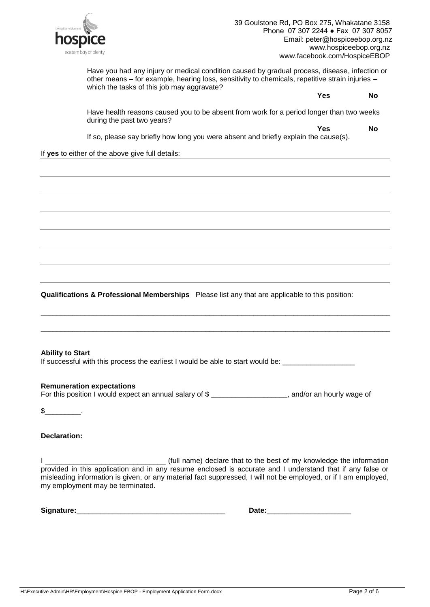

Have you had any injury or medical condition caused by gradual process, disease, infection or other means – for example, hearing loss, sensitivity to chemicals, repetitive strain injuries – which the tasks of this job may aggravate?

**Yes No**

Have health reasons caused you to be absent from work for a period longer than two weeks during the past two years?

**Yes No**

If so, please say briefly how long you were absent and briefly explain the cause(s).

If **yes** to either of the above give full details:

**Qualifications & Professional Memberships** Please list any that are applicable to this position:

\_\_\_\_\_\_\_\_\_\_\_\_\_\_\_\_\_\_\_\_\_\_\_\_\_\_\_\_\_\_\_\_\_\_\_\_\_\_\_\_\_\_\_\_\_\_\_\_\_\_\_\_\_\_\_\_\_\_\_\_\_\_\_\_\_\_\_\_\_\_\_\_\_\_\_\_\_\_\_\_\_\_\_\_\_\_\_

\_\_\_\_\_\_\_\_\_\_\_\_\_\_\_\_\_\_\_\_\_\_\_\_\_\_\_\_\_\_\_\_\_\_\_\_\_\_\_\_\_\_\_\_\_\_\_\_\_\_\_\_\_\_\_\_\_\_\_\_\_\_\_\_\_\_\_\_\_\_\_\_\_\_\_\_\_\_\_\_\_\_\_\_\_\_\_

#### **Ability to Start**

If successful with this process the earliest I would be able to start would be: \_\_\_\_\_\_\_\_\_\_\_\_\_\_\_\_\_\_\_\_

#### **Remuneration expectations**

For this position I would expect an annual salary of \$ \_\_\_\_\_\_\_\_\_\_\_\_\_\_\_\_\_\_\_, and/or an hourly wage of

 $\mathbb S$  .

#### **Declaration:**

I \_\_\_\_\_\_\_\_\_\_\_\_\_\_\_\_\_\_\_\_\_\_\_\_\_\_\_\_\_\_ (full name) declare that to the best of my knowledge the information provided in this application and in any resume enclosed is accurate and I understand that if any false or misleading information is given, or any material fact suppressed, I will not be employed, or if I am employed, my employment may be terminated.

**Signature:** \_\_\_\_\_\_\_\_\_\_\_\_\_\_\_\_\_\_\_\_\_\_\_\_\_\_\_\_\_\_\_\_\_\_\_\_\_ **Date:**\_\_\_\_\_\_\_\_\_\_\_\_\_\_\_\_\_\_\_\_\_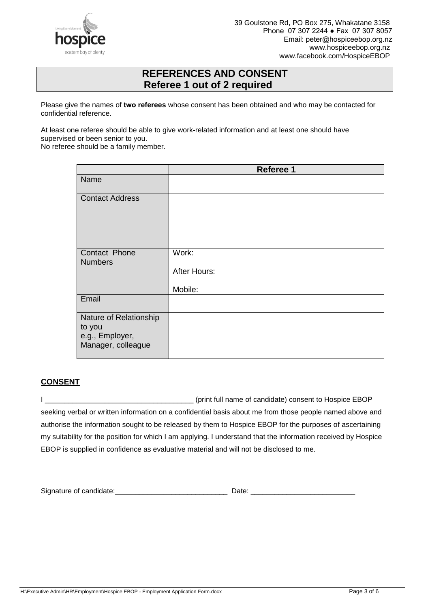

## **REFERENCES AND CONSENT Referee 1 out of 2 required**

Please give the names of **two referees** whose consent has been obtained and who may be contacted for confidential reference.

At least one referee should be able to give work-related information and at least one should have supervised or been senior to you.

No referee should be a family member.

|                                                                           | Referee 1                        |
|---------------------------------------------------------------------------|----------------------------------|
| Name                                                                      |                                  |
| <b>Contact Address</b>                                                    |                                  |
| Contact Phone<br><b>Numbers</b>                                           | Work:<br>After Hours:<br>Mobile: |
| Email                                                                     |                                  |
| Nature of Relationship<br>to you<br>e.g., Employer,<br>Manager, colleague |                                  |

### **CONSENT**

I \_\_\_\_\_\_\_\_\_\_\_\_\_\_\_\_\_\_\_\_\_\_\_\_\_\_\_\_\_\_\_\_\_\_\_\_\_ (print full name of candidate) consent to Hospice EBOP seeking verbal or written information on a confidential basis about me from those people named above and authorise the information sought to be released by them to Hospice EBOP for the purposes of ascertaining my suitability for the position for which I am applying. I understand that the information received by Hospice EBOP is supplied in confidence as evaluative material and will not be disclosed to me.

| Signature of can<br>uuludlo. |  |
|------------------------------|--|
|------------------------------|--|